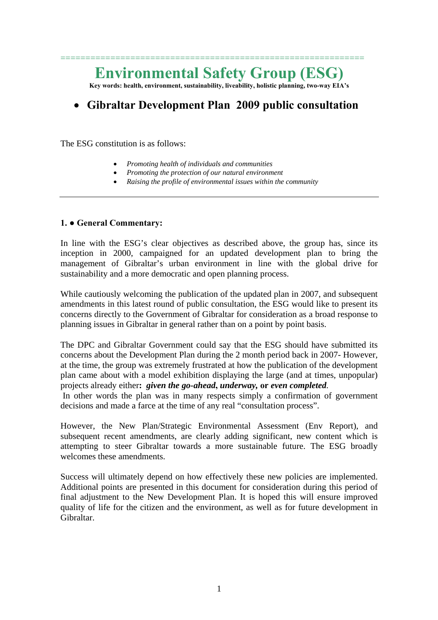# **Environmental Safety Group (ESG)**

=============================================================

**Key words: health, environment, sustainability, liveability, holistic planning, two-way EIA's** 

# • **Gibraltar Development Plan 2009 public consultation**

The ESG constitution is as follows:

- *Promoting health of individuals and communities*
- *Promoting the protection of our natural environment*
- *Raising the profile of environmental issues within the community*

#### **1. ● General Commentary:**

In line with the ESG's clear objectives as described above, the group has, since its inception in 2000, campaigned for an updated development plan to bring the management of Gibraltar's urban environment in line with the global drive for sustainability and a more democratic and open planning process.

While cautiously welcoming the publication of the updated plan in 2007, and subsequent amendments in this latest round of public consultation, the ESG would like to present its concerns directly to the Government of Gibraltar for consideration as a broad response to planning issues in Gibraltar in general rather than on a point by point basis.

The DPC and Gibraltar Government could say that the ESG should have submitted its concerns about the Development Plan during the 2 month period back in 2007- However, at the time, the group was extremely frustrated at how the publication of the development plan came about with a model exhibition displaying the large (and at times, unpopular) projects already either**:** *given the go-ahead***,** *underway,* **or** *even completed.* 

In other words the plan was in many respects simply a confirmation of government decisions and made a farce at the time of any real "consultation process".

However, the New Plan/Strategic Environmental Assessment (Env Report), and subsequent recent amendments, are clearly adding significant, new content which is attempting to steer Gibraltar towards a more sustainable future. The ESG broadly welcomes these amendments.

Success will ultimately depend on how effectively these new policies are implemented. Additional points are presented in this document for consideration during this period of final adjustment to the New Development Plan. It is hoped this will ensure improved quality of life for the citizen and the environment, as well as for future development in Gibraltar.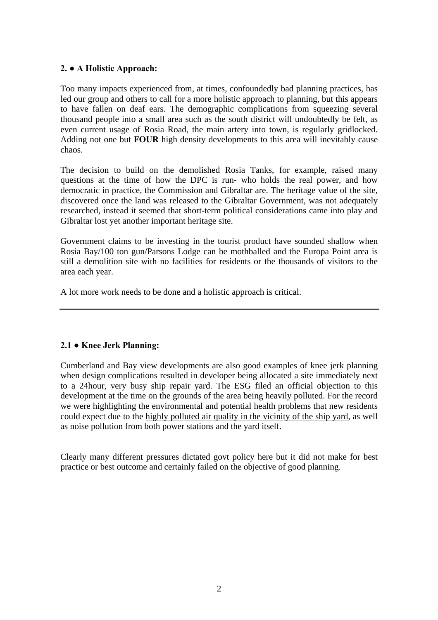# **2. ● A Holistic Approach:**

Too many impacts experienced from, at times, confoundedly bad planning practices, has led our group and others to call for a more holistic approach to planning, but this appears to have fallen on deaf ears. The demographic complications from squeezing several thousand people into a small area such as the south district will undoubtedly be felt, as even current usage of Rosia Road, the main artery into town, is regularly gridlocked. Adding not one but **FOUR** high density developments to this area will inevitably cause chaos.

The decision to build on the demolished Rosia Tanks, for example, raised many questions at the time of how the DPC is run- who holds the real power, and how democratic in practice, the Commission and Gibraltar are. The heritage value of the site, discovered once the land was released to the Gibraltar Government, was not adequately researched, instead it seemed that short-term political considerations came into play and Gibraltar lost yet another important heritage site.

Government claims to be investing in the tourist product have sounded shallow when Rosia Bay/100 ton gun/Parsons Lodge can be mothballed and the Europa Point area is still a demolition site with no facilities for residents or the thousands of visitors to the area each year.

A lot more work needs to be done and a holistic approach is critical.

# **2.1 ● Knee Jerk Planning:**

Cumberland and Bay view developments are also good examples of knee jerk planning when design complications resulted in developer being allocated a site immediately next to a 24hour, very busy ship repair yard. The ESG filed an official objection to this development at the time on the grounds of the area being heavily polluted. For the record we were highlighting the environmental and potential health problems that new residents could expect due to the highly polluted air quality in the vicinity of the ship yard, as well as noise pollution from both power stations and the yard itself.

Clearly many different pressures dictated govt policy here but it did not make for best practice or best outcome and certainly failed on the objective of good planning.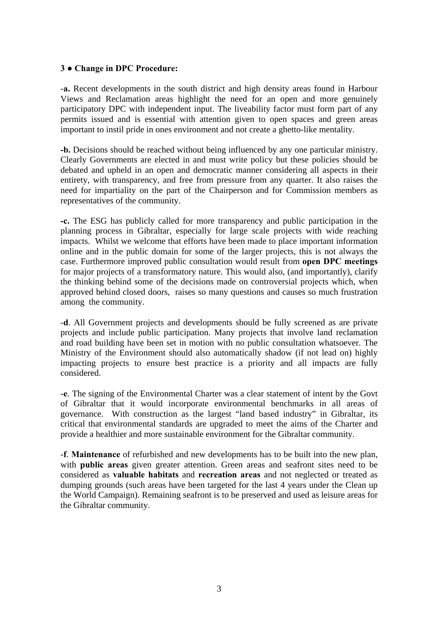#### **3 ● Change in DPC Procedure:**

-**a.** Recent developments in the south district and high density areas found in Harbour Views and Reclamation areas highlight the need for an open and more genuinely participatory DPC with independent input. The liveability factor must form part of any permits issued and is essential with attention given to open spaces and green areas important to instil pride in ones environment and not create a ghetto-like mentality.

**-b.** Decisions should be reached without being influenced by any one particular ministry. Clearly Governments are elected in and must write policy but these policies should be debated and upheld in an open and democratic manner considering all aspects in their entirety, with transparency, and free from pressure from any quarter. It also raises the need for impartiality on the part of the Chairperson and for Commission members as representatives of the community.

**-c.** The ESG has publicly called for more transparency and public participation in the planning process in Gibraltar, especially for large scale projects with wide reaching impacts. Whilst we welcome that efforts have been made to place important information online and in the public domain for some of the larger projects, this is not always the case. Furthermore improved public consultation would result from **open DPC meetings** for major projects of a transformatory nature. This would also, (and importantly), clarify the thinking behind some of the decisions made on controversial projects which, when approved behind closed doors, raises so many questions and causes so much frustration among the community.

-**d**. All Government projects and developments should be fully screened as are private projects and include public participation. Many projects that involve land reclamation and road building have been set in motion with no public consultation whatsoever. The Ministry of the Environment should also automatically shadow (if not lead on) highly impacting projects to ensure best practice is a priority and all impacts are fully considered.

-**e**. The signing of the Environmental Charter was a clear statement of intent by the Govt of Gibraltar that it would incorporate environmental benchmarks in all areas of governance. With construction as the largest "land based industry" in Gibraltar, its critical that environmental standards are upgraded to meet the aims of the Charter and provide a healthier and more sustainable environment for the Gibraltar community.

-**f**. **Maintenance** of refurbished and new developments has to be built into the new plan, with **public areas** given greater attention. Green areas and seafront sites need to be considered as **valuable habitats** and **recreation areas** and not neglected or treated as dumping grounds (such areas have been targeted for the last 4 years under the Clean up the World Campaign). Remaining seafront is to be preserved and used as leisure areas for the Gibraltar community.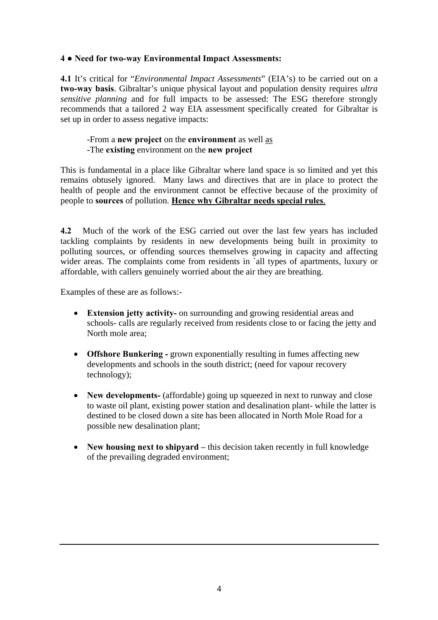# **4 ● Need for two-way Environmental Impact Assessments:**

**4.1** It's critical for "*Environmental Impact Assessments*" (EIA's) to be carried out on a **two-way basis**. Gibraltar's unique physical layout and population density requires *ultra sensitive planning* and for full impacts to be assessed: The ESG therefore strongly recommends that a tailored 2 way EIA assessment specifically created for Gibraltar is set up in order to assess negative impacts:

# -From a **new project** on the **environment** as well as -The **existing** environment on the **new project**

This is fundamental in a place like Gibraltar where land space is so limited and yet this remains obtusely ignored. Many laws and directives that are in place to protect the health of people and the environment cannot be effective because of the proximity of people to **sources** of pollution. **Hence why Gibraltar needs special rules**.

**4.2** Much of the work of the ESG carried out over the last few years has included tackling complaints by residents in new developments being built in proximity to polluting sources, or offending sources themselves growing in capacity and affecting wider areas. The complaints come from residents in `all types of apartments, luxury or affordable, with callers genuinely worried about the air they are breathing.

Examples of these are as follows:-

- **Extension jetty activity-** on surrounding and growing residential areas and schools- calls are regularly received from residents close to or facing the jetty and North mole area;
- **Offshore Bunkering -** grown exponentially resulting in fumes affecting new developments and schools in the south district; (need for vapour recovery technology);
- **New developments-** (affordable) going up squeezed in next to runway and close to waste oil plant, existing power station and desalination plant- while the latter is destined to be closed down a site has been allocated in North Mole Road for a possible new desalination plant;
- **New housing next to shipvard** this decision taken recently in full knowledge of the prevailing degraded environment;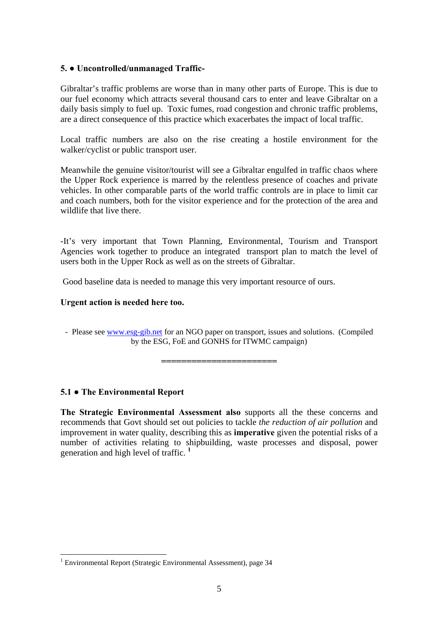# **5. ● Uncontrolled/unmanaged Traffic-**

Gibraltar's traffic problems are worse than in many other parts of Europe. This is due to our fuel economy which attracts several thousand cars to enter and leave Gibraltar on a daily basis simply to fuel up. Toxic fumes, road congestion and chronic traffic problems, are a direct consequence of this practice which exacerbates the impact of local traffic.

Local traffic numbers are also on the rise creating a hostile environment for the walker/cyclist or public transport user.

Meanwhile the genuine visitor/tourist will see a Gibraltar engulfed in traffic chaos where the Upper Rock experience is marred by the relentless presence of coaches and private vehicles. In other comparable parts of the world traffic controls are in place to limit car and coach numbers, both for the visitor experience and for the protection of the area and wildlife that live there.

-It's very important that Town Planning, Environmental, Tourism and Transport Agencies work together to produce an integrated transport plan to match the level of users both in the Upper Rock as well as on the streets of Gibraltar.

Good baseline data is needed to manage this very important resource of ours.

# **Urgent action is needed here too.**

- Please see [www.esg-gib.net](http://www.esg-gib.net/) for an NGO paper on transport, issues and solutions. (Compiled by the ESG, FoE and GONHS for ITWMC campaign)

**=======================** 

# **5.1 ● The Environmental Report**

 $\overline{a}$ 

**The Strategic Environmental Assessment also** supports all the these concerns and recommends that Govt should set out policies to tackle *the reduction of air pollution* and improvement in water quality, describing this as **imperative** given the potential risks of a number of activities relating to shipbuilding, waste processes and disposal, power generation and high level of traffic. **[1](#page-4-0)**

<span id="page-4-0"></span><sup>&</sup>lt;sup>1</sup> Environmental Report (Strategic Environmental Assessment), page 34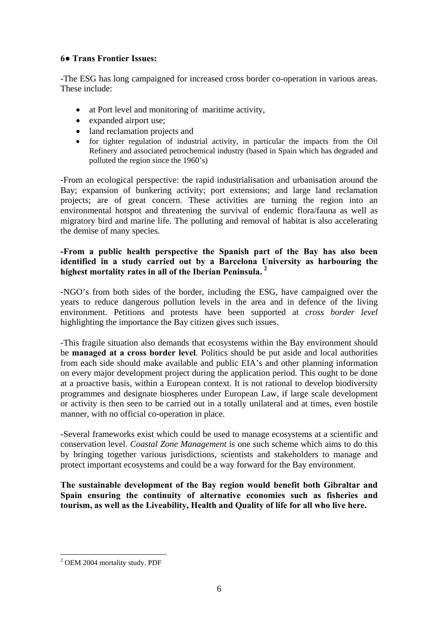# **6● Trans Frontier Issues:**

-The ESG has long campaigned for increased cross border co-operation in various areas. These include:

- at Port level and monitoring of maritime activity,
- expanded airport use;
- land reclamation projects and
- for tighter regulation of industrial activity, in particular the impacts from the Oil Refinery and associated petrochemical industry (based in Spain which has degraded and polluted the region since the 1960's)

-From an ecological perspective: the rapid industrialisation and urbanisation around the Bay; expansion of bunkering activity; port extensions; and large land reclamation projects; are of great concern. These activities are turning the region into an environmental hotspot and threatening the survival of endemic flora/fauna as well as migratory bird and marine life. The polluting and removal of habitat is also accelerating the demise of many species.

# **-From a public health perspective the Spanish part of the Bay has also been identified in a study carried out by a Barcelona University as harbouring the highest mortality rates in all of the Iberian Peninsula. [2](#page-5-0)**

-NGO's from both sides of the border, including the ESG, have campaigned over the years to reduce dangerous pollution levels in the area and in defence of the living environment. Petitions and protests have been supported at *cross border level* highlighting the importance the Bay citizen gives such issues.

-This fragile situation also demands that ecosystems within the Bay environment should be **managed at a cross border level**. Politics should be put aside and local authorities from each side should make available and public EIA's and other planning information on every major development project during the application period. This ought to be done at a proactive basis, within a European context. It is not rational to develop biodiversity programmes and designate biospheres under European Law, if large scale development or activity is then seen to be carried out in a totally unilateral and at times, even hostile manner, with no official co-operation in place.

-Several frameworks exist which could be used to manage ecosystems at a scientific and conservation level. *Coastal Zone Management* is one such scheme which aims to do this by bringing together various jurisdictions, scientists and stakeholders to manage and protect important ecosystems and could be a way forward for the Bay environment.

**The sustainable development of the Bay region would benefit both Gibraltar and Spain ensuring the continuity of alternative economies such as fisheries and tourism, as well as the Liveability, Health and Quality of life for all who live here.** 

<span id="page-5-0"></span> $\overline{a}$ <sup>2</sup> OEM 2004 mortality study. PDF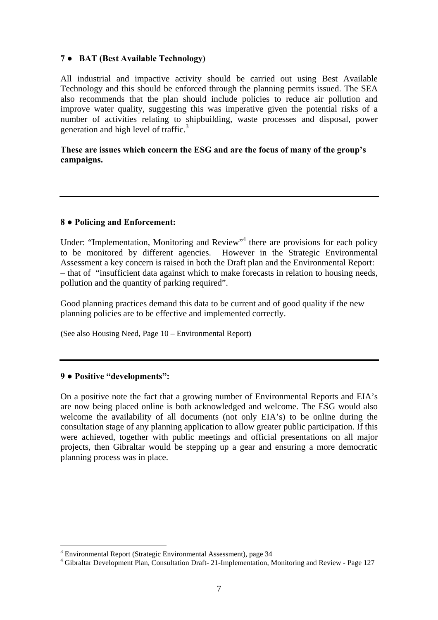# **7 ● BAT (Best Available Technology)**

All industrial and impactive activity should be carried out using Best Available Technology and this should be enforced through the planning permits issued. The SEA also recommends that the plan should include policies to reduce air pollution and improve water quality, suggesting this was imperative given the potential risks of a number of activities relating to shipbuilding, waste processes and disposal, power generation and high level of traffic.<sup>[3](#page-6-0)</sup>

# **These are issues which concern the ESG and are the focus of many of the group's campaigns.**

# **8 ● Policing and Enforcement:**

Under: "Implementation, Monitoring and Review"<sup>[4](#page-6-1)</sup> there are provisions for each policy to be monitored by different agencies. However in the Strategic Environmental Assessment a key concern is raised in both the Draft plan and the Environmental Report: – that of "insufficient data against which to make forecasts in relation to housing needs, pollution and the quantity of parking required".

Good planning practices demand this data to be current and of good quality if the new planning policies are to be effective and implemented correctly.

**(**See also Housing Need, Page 10 – Environmental Report**)** 

#### **9 ● Positive "developments":**

On a positive note the fact that a growing number of Environmental Reports and EIA's are now being placed online is both acknowledged and welcome. The ESG would also welcome the availability of all documents (not only EIA's) to be online during the consultation stage of any planning application to allow greater public participation. If this were achieved, together with public meetings and official presentations on all major projects, then Gibraltar would be stepping up a gear and ensuring a more democratic planning process was in place.

<span id="page-6-0"></span> $\overline{a}$ <sup>3</sup> Environmental Report (Strategic Environmental Assessment), page 34<br> $\frac{4}{1}$  Gibraltar Davelopment Plan, Consultation Draft, 21 Implementation

<span id="page-6-1"></span>Gibraltar Development Plan, Consultation Draft- 21-Implementation, Monitoring and Review - Page 127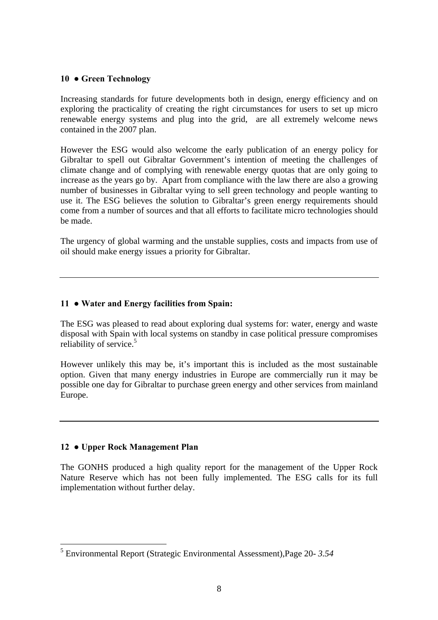#### **10 ● Green Technology**

Increasing standards for future developments both in design, energy efficiency and on exploring the practicality of creating the right circumstances for users to set up micro renewable energy systems and plug into the grid, are all extremely welcome news contained in the 2007 plan.

However the ESG would also welcome the early publication of an energy policy for Gibraltar to spell out Gibraltar Government's intention of meeting the challenges of climate change and of complying with renewable energy quotas that are only going to increase as the years go by. Apart from compliance with the law there are also a growing number of businesses in Gibraltar vying to sell green technology and people wanting to use it. The ESG believes the solution to Gibraltar's green energy requirements should come from a number of sources and that all efforts to facilitate micro technologies should be made.

The urgency of global warming and the unstable supplies, costs and impacts from use of oil should make energy issues a priority for Gibraltar.

# **11 ● Water and Energy facilities from Spain:**

The ESG was pleased to read about exploring dual systems for: water, energy and waste disposal with Spain with local systems on standby in case political pressure compromises reliability of service.<sup>[5](#page-7-0)</sup>

However unlikely this may be, it's important this is included as the most sustainable option. Given that many energy industries in Europe are commercially run it may be possible one day for Gibraltar to purchase green energy and other services from mainland Europe.

#### **12 ● Upper Rock Management Plan**

 $\overline{a}$ 

The GONHS produced a high quality report for the management of the Upper Rock Nature Reserve which has not been fully implemented. The ESG calls for its full implementation without further delay.

<span id="page-7-0"></span><sup>5</sup> Environmental Report (Strategic Environmental Assessment),Page 20- *3.54*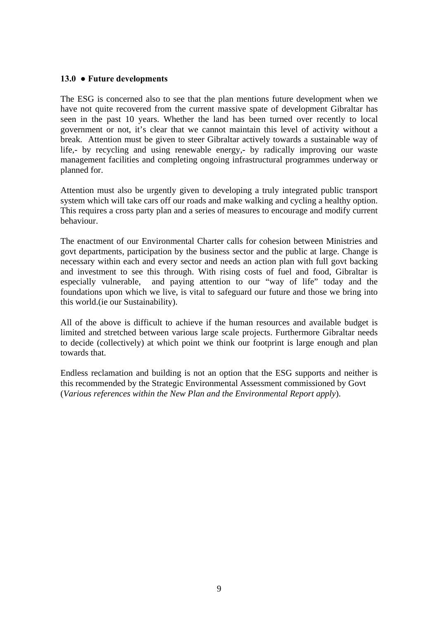#### **13.0 ● Future developments**

The ESG is concerned also to see that the plan mentions future development when we have not quite recovered from the current massive spate of development Gibraltar has seen in the past 10 years. Whether the land has been turned over recently to local government or not, it's clear that we cannot maintain this level of activity without a break. Attention must be given to steer Gibraltar actively towards a sustainable way of life,- by recycling and using renewable energy,- by radically improving our waste management facilities and completing ongoing infrastructural programmes underway or planned for.

Attention must also be urgently given to developing a truly integrated public transport system which will take cars off our roads and make walking and cycling a healthy option. This requires a cross party plan and a series of measures to encourage and modify current behaviour.

The enactment of our Environmental Charter calls for cohesion between Ministries and govt departments, participation by the business sector and the public at large. Change is necessary within each and every sector and needs an action plan with full govt backing and investment to see this through. With rising costs of fuel and food, Gibraltar is especially vulnerable, and paying attention to our "way of life" today and the foundations upon which we live, is vital to safeguard our future and those we bring into this world.(ie our Sustainability).

All of the above is difficult to achieve if the human resources and available budget is limited and stretched between various large scale projects. Furthermore Gibraltar needs to decide (collectively) at which point we think our footprint is large enough and plan towards that.

Endless reclamation and building is not an option that the ESG supports and neither is this recommended by the Strategic Environmental Assessment commissioned by Govt (*Various references within the New Plan and the Environmental Report apply*).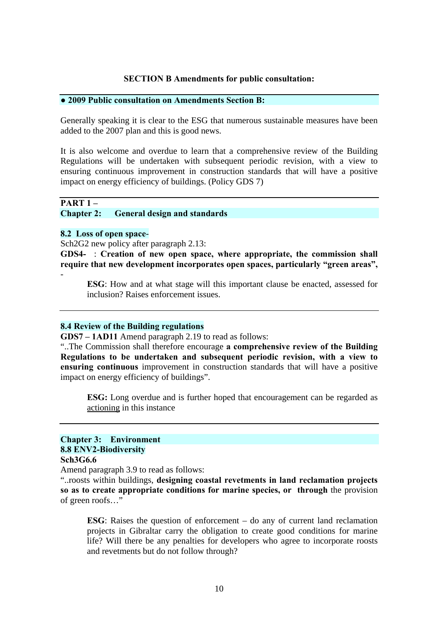#### **SECTION B Amendments for public consultation:**

#### **● 2009 Public consultation on Amendments Section B:**

Generally speaking it is clear to the ESG that numerous sustainable measures have been added to the 2007 plan and this is good news.

It is also welcome and overdue to learn that a comprehensive review of the Building Regulations will be undertaken with subsequent periodic revision, with a view to ensuring continuous improvement in construction standards that will have a positive impact on energy efficiency of buildings. (Policy GDS 7)

# **PART 1 –**

**Chapter 2: General design and standards** 

#### **8.2 Loss of open space**-

Sch2G2 new policy after paragraph 2.13:

**GDS4-** : **Creation of new open space, where appropriate, the commission shall require that new development incorporates open spaces, particularly "green areas",** -

**ESG**: How and at what stage will this important clause be enacted, assessed for inclusion? Raises enforcement issues.

#### **8.4 Review of the Building regulations**

**GDS7 – 1AD11** Amend paragraph 2.19 to read as follows:

"..The Commission shall therefore encourage **a comprehensive review of the Building Regulations to be undertaken and subsequent periodic revision, with a view to ensuring continuous** improvement in construction standards that will have a positive impact on energy efficiency of buildings".

**ESG:** Long overdue and is further hoped that encouragement can be regarded as actioning in this instance

#### **Chapter 3: Environment 8.8 ENV2-Biodiversity Sch3G6.6**

Amend paragraph 3.9 to read as follows:

"..roosts within buildings, **designing coastal revetments in land reclamation projects so as to create appropriate conditions for marine species, or through** the provision of green roofs…"

**ESG**: Raises the question of enforcement – do any of current land reclamation projects in Gibraltar carry the obligation to create good conditions for marine life? Will there be any penalties for developers who agree to incorporate roosts and revetments but do not follow through?